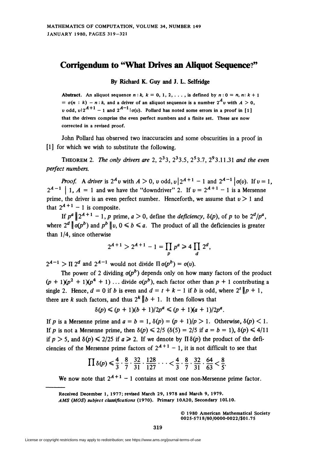## Corrigendum to "What Drives an Aliquot Sequence?"

By Richard K. Guy and J. L. Selfridge

Abstract. An aliquot sequence  $n : k$ ,  $k = 0, 1, 2, \ldots$ , is defined by  $n : 0 = n, n : k + 1$  $= \sigma(n : k) - n : k$ , and a driver of an aliquot sequence is a number  $2^A v$  with  $A > 0$ , v odd, v $|2^{A+1} - 1|$  and  $2^{A-1} |\sigma(v)|$ . Pollard has noted some errors in a proof in [1] that the drivers comprise the even perfect numbers and a finite set. These are now corrected in a revised proof.

John Pollard has observed two inaccuracies and some obscurities in a proof in [1] for which we wish to substitute the following.

THEOREM 2. The only drivers are 2,  $2^33, 2^33.5, 2^53.7, 2^93.11.31$  and the even perfect numbers.

**Proof.** A driver is  $2^A v$  with  $A > 0$ , v odd,  $v \mid 2^{A+1} - 1$  and  $2^{A-1} \mid o(v)$ . If  $v = 1$ ,  $2^{A-1}$  | 1,  $A = 1$  and we have the "downdriver" 2. If  $v = 2^{A+1} - 1$  is a Mersenne prime, the driver is an even perfect number. Henceforth, we assume that  $v > 1$  and that  $2^{A+1}$  - 1 is composite.

If  $p^a || 2^{A+1} - 1$ , p prime,  $a > 0$ , define the *deficiency*,  $\delta(p)$ , of p to be  $2^d / p^a$ , where  $2^d \nvert \nvert o(p^b)$  and  $p^b \nvert \nvert v, 0 \le b \le a$ . The product of all the deficiencies is greater than 1/4, since otherwise

$$
2^{A+1} > 2^{A+1} - 1 = \prod_p p^a \ge 4 \prod_d 2^d,
$$

 $2^{A-1}$  >  $\Pi$  2<sup>d</sup> and  $2^{A-1}$  would not divide  $\Pi \sigma(p^b) = \sigma(v)$ .

The power of 2 dividing  $q(p^b)$  depends only on how many factors of the product  $(p + 1)(p^2 + 1)(p^4 + 1) \ldots$  divide  $o(p^b)$ , each factor other than  $p + 1$  contributing a single 2. Hence,  $d = 0$  if b is even and  $d = t + k - 1$  if b is odd, where  $2^t || p + 1$ , there are k such factors, and thus  $2^k \nvert b + 1$ . It then follows that

$$
\delta(p) \leq (p+1)(b+1)/2p^a \leq (p+1)(a+1)/2p^a.
$$

If p is a Mersenne prime and  $a = b = 1$ ,  $\delta(p) = (p + 1)/p > 1$ . Otherwise,  $\delta(p) < 1$ . If p is not a Mersenne prime, then  $\delta(p) \leq 2/5$  ( $\delta(5) = 2/5$  if  $a = b = 1$ ),  $\delta(p) \leq 4/11$ if  $p > 5$ , and  $\delta(p) \le 2/25$  if  $a \ge 2$ . If we denote by  $\Pi \delta(p)$  the product of the deficiencies of the Mersenne prime factors of  $2^{A+1}$  – 1, it is not difficult to see that

$$
\prod \delta(p) \leq \frac{4}{3} \cdot \frac{8}{7} \cdot \frac{32}{31} \cdot \frac{128}{127} \cdot \cdot \cdot < \frac{4}{3} \cdot \frac{8}{7} \cdot \frac{32}{31} \cdot \frac{64}{63} < \frac{8}{5}.
$$

We now note that  $2^{A + 1} - 1$  contains at most one non-Mersenne prime factor.

Received December 1, 1977; revised March 29, 1978 and March 9, 1979.

© 1980 American Mathematical Society 0025-5718/80/0000-0022/\$01.75

AMS (MOS) subject classifications (1970). Primary 10A20, Secondary 10L10.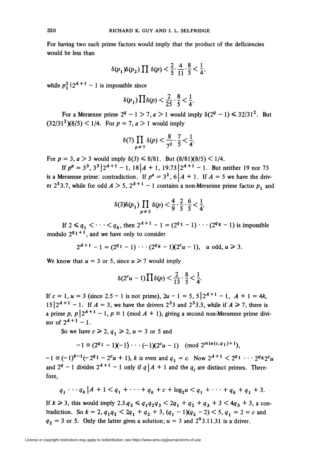For having two such prime factors would imply that the product of the deficiencies would be less than

$$
\delta(p_1)\delta(p_2)\prod \delta(p) < \frac{2}{5} \cdot \frac{4}{11} \cdot \frac{8}{5} < \frac{1}{4},
$$

while  $p_1^2 | 2^{A+1} - 1$  is impossible since

$$
\delta(p_1)\prod \delta(p) < \frac{2}{25} \cdot \frac{8}{5} < \frac{1}{4}
$$

For a Mersenne prime  $2^q - 1 > 7$ ,  $a > 1$  would imply  $\delta(2^q - 1) \leq 32/31^2$ . But  $(32/31^2)(8/5) < 1/4$ . For  $p = 7, a > 1$  would imply

$$
\delta(7)\prod_{p\neq 7}\delta(p)<\frac{8}{7^2}\cdot\frac{7}{5}<\frac{1}{4}.
$$

For  $p = 3$ ,  $a > 3$  would imply  $\delta(3) \le 8/81$ . But  $(8/81)(8/5) < 1/4$ .

If  $p^a = 3^3$ ,  $3^3 | 2^{a+1} - 1$ ,  $18 | 4 + 1$ ,  $19.73 | 2^{a+1} - 1$ . But neither 19 nor 73 is a Mersenne prime: contradiction. If  $p^a = 3^2$ ,  $6 | A + 1$ . If  $A = 5$  we have the driver 2<sup>5</sup>3.7, while for odd  $A > 5$ ,  $2^{A+1} - 1$  contains a non-Mersenne prime factor  $p_1$  and

$$
\delta(3)\delta(p_1)\prod_{p\neq 3}\delta(p) < \frac{4}{9} \cdot \frac{2}{5} \cdot \frac{6}{5} < \frac{1}{4}
$$

If  $2 \leq q_1 < \cdots < q_k$ , then  $2^{A+1} - 1 = (2^{q_1} - 1) \cdots (2^{q_k} - 1)$  is impossible modulo  $2^{q_1+1}$ , and we have only to consider

$$
2^{A+1}-1=(2^{q_1}-1)\cdots(2^{q_k}-1)(2^cu-1), u \text{ odd}, u\geq 3.
$$

We know that  $u = 3$  or 5, since  $u \ge 7$  would imply

$$
\delta(2^c u-1)\prod \delta(p)<\frac{2}{13}\cdot\frac{8}{5}<\frac{1}{4}.
$$

If  $c = 1$ ,  $u = 3$  (since 2.5 - 1 is not prime),  $2u - 1 = 5$ ,  $5 \left[ 2^{A+1} - 1, A+1 \right] = 4k$ ,  $15|2^{A+1} - 1$ . If  $A = 3$ , we have the drivers  $2^3$  and  $2^3$ 3.5, while if  $A \ge 7$ , there is a prime p,  $p | 2^{A+1} - 1$ ,  $p \equiv 1 \pmod{A + 1}$ , giving a second non-Mersenne prime divisor of  $2^{A+1} - 1$ .

So we have  $c \ge 2$ ,  $q_1 \ge 2$ ,  $u = 3$  or 5 and

$$
-1 \equiv (2^{q_1} - 1)(-1) \cdots (-1)(2^{c}u - 1) \pmod{2^{\min(c,q_1)+1}},
$$

 $-1 \equiv (-1)^{k-1}(-2^{q_1}-2^c u + 1), k$  is even and  $q_1 = c$ . Now  $2^{A+1} < 2^{q_1} \cdots 2^{q_k} 2^c u$ and  $2^q - 1$  divides  $2^{A+1} - 1$  only if  $q | A + 1$  and the  $q_i$  are distinct primes. Therefore,

$$
q_1 \cdots q_k | A + 1 < q_1 + \cdots + q_k + c + \log_2 u < q_1 + \cdots + q_k + q_1 + 3.
$$

If  $k \ge 3$ , this would imply  $2.3.4_3 \le q_1 q_2 q_3 < 2q_1 + q_2 + q_3 + 3 < 4q_3 + 3$ , a contradiction. So  $k = 2$ ,  $q_1q_2 < 2q_1 + q_2 + 3$ ,  $(q_1 - 1)(q_2 - 2) < 5$ ,  $q_1 = 2 = c$  and  $q_2 = 3$  or 5. Only the latter gives a solution;  $u = 3$  and  $2^9 3.11.31$  is a driver.